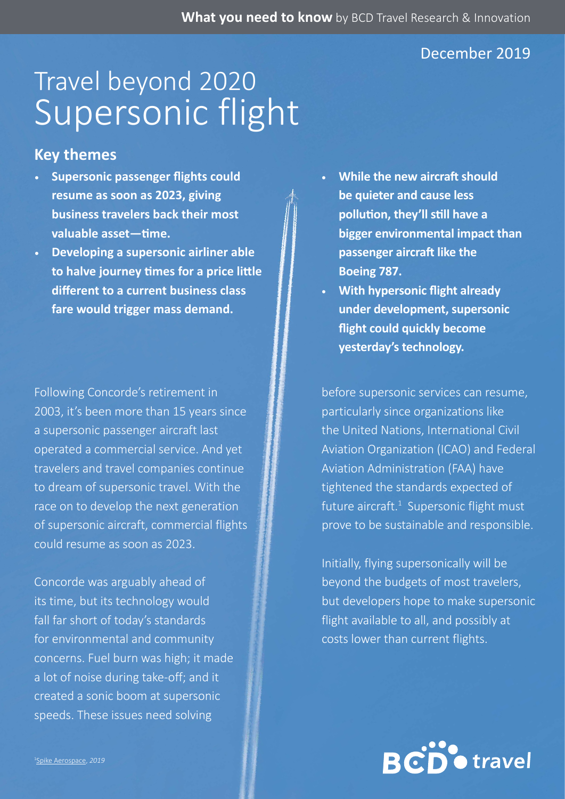### December 2019

# Supersonic flight Travel beyond 2020

### **Key themes**

- **• Supersonic passenger flights could resume as soon as 2023, giving business travelers back their most valuable asset—time.**
- **• Developing a supersonic airliner able to halve journey times for a price little different to a current business class fare would trigger mass demand.**

Following Concorde's retirement in 2003, it's been more than 15 years since a supersonic passenger aircraft last operated a commercial service. And yet travelers and travel companies continue to dream of supersonic travel. With the race on to develop the next generation of supersonic aircraft, commercial flights could resume as soon as 2023.

Concorde was arguably ahead of its time, but its technology would fall far short of today's standards for environmental and community concerns. Fuel burn was high; it made a lot of noise during take-off; and it created a sonic boom at supersonic speeds. These issues need solving

- **• While the new aircraft should be quieter and cause less pollution, they'll still have a bigger environmental impact than passenger aircraft like the Boeing 787.**
- **• With hypersonic flight already under development, supersonic flight could quickly become yesterday's technology.**

before supersonic services can resume, particularly since organizations like the United Nations, International Civil Aviation Organization (ICAO) and Federal Aviation Administration (FAA) have tightened the standards expected of future aircraft. $1$  Supersonic flight must prove to be sustainable and responsible.

Initially, flying supersonically will be beyond the budgets of most travelers, but developers hope to make supersonic flight available to all, and possibly at costs lower than current flights.

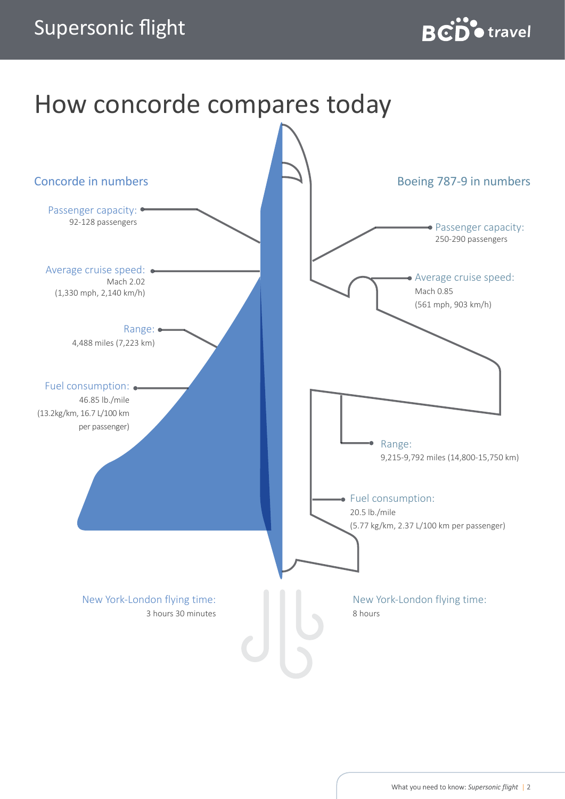

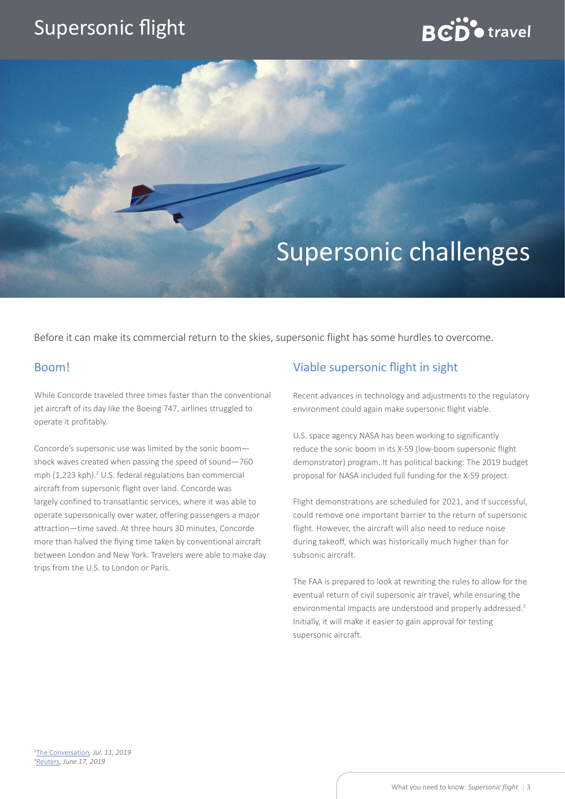## **BCD** otravel

## Supersonic challenges

Before it can make its commercial return to the skies, supersonic flight has some hurdles to overcome.

#### Boom!

While Concorde traveled three times faster than the conventional jet aircraft of its day like the Boeing 747, airlines struggled to operate it profitably.

Concorde's supersonic use was limited by the sonic boom shock waves created when passing the speed of sound—760 mph (1,223 kph).<sup>2</sup> U.S. federal regulations ban commercial aircraft from supersonic flight over land. Concorde was largely confined to transatlantic services, where it was able to operate supersonically over water, offering passengers a major attraction—time saved. At three hours 30 minutes, Concorde more than halved the flying time taken by conventional aircraft between London and New York. Travelers were able to make day trips from the U.S. to London or Paris.

### Viable supersonic flight in sight

Recent advances in technology and adjustments to the regulatory environment could again make supersonic flight viable.

U.S. space agency NASA has been working to significantly reduce the sonic boom in its X-59 (low-boom supersonic flight demonstrator) program. It has political backing: The 2019 budget proposal for NASA included full funding for the X-59 project.

Flight demonstrations are scheduled for 2021, and if successful, could remove one important barrier to the return of supersonic flight. However, the aircraft will also need to reduce noise during takeoff, which was historically much higher than for subsonic aircraft.

The FAA is prepared to look at rewriting the rules to allow for the eventual return of civil supersonic air travel, while ensuring the environmental impacts are understood and properly addressed.<sup>3</sup> Initially, it will make it easier to gain approval for testing supersonic aircraft.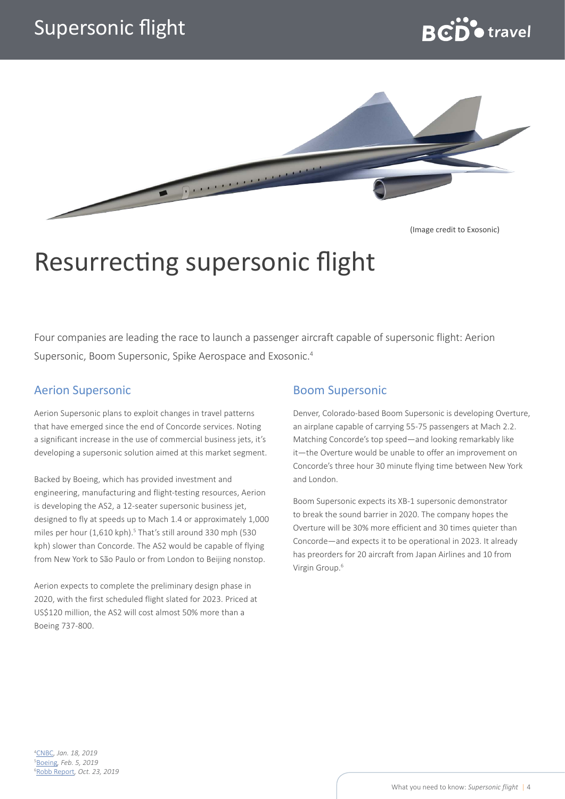



(Image credit to Exosonic)

## Resurrecting supersonic flight

Four companies are leading the race to launch a passenger aircraft capable of supersonic flight: Aerion Supersonic, Boom Supersonic, Spike Aerospace and Exosonic.4

#### Aerion Supersonic

Aerion Supersonic plans to exploit changes in travel patterns that have emerged since the end of Concorde services. Noting a significant increase in the use of commercial business jets, it's developing a supersonic solution aimed at this market segment.

Backed by Boeing, which has provided investment and engineering, manufacturing and flight-testing resources, Aerion is developing the AS2, a 12-seater supersonic business jet, designed to fly at speeds up to Mach 1.4 or approximately 1,000 miles per hour (1,610 kph).<sup>5</sup> That's still around 330 mph (530 kph) slower than Concorde. The AS2 would be capable of flying from New York to São Paulo or from London to Beijing nonstop.

Aerion expects to complete the preliminary design phase in 2020, with the first scheduled flight slated for 2023. Priced at US\$120 million, the AS2 will cost almost 50% more than a Boeing 737-800.

#### Boom Supersonic

Denver, Colorado-based Boom Supersonic is developing Overture, an airplane capable of carrying 55-75 passengers at Mach 2.2. Matching Concorde's top speed—and looking remarkably like it—the Overture would be unable to offer an improvement on Concorde's three hour 30 minute flying time between New York and London.

Boom Supersonic expects its XB-1 supersonic demonstrator to break the sound barrier in 2020. The company hopes the Overture will be 30% more efficient and 30 times quieter than Concorde—and expects it to be operational in 2023. It already has preorders for 20 aircraft from Japan Airlines and 10 from Virgin Group.6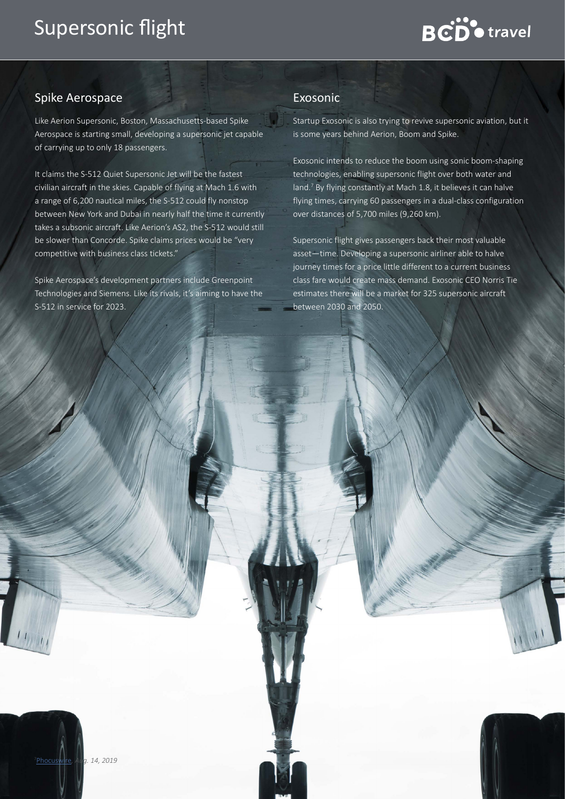# **BCD** otravel

### Spike Aerospace

Like Aerion Supersonic, Boston, Massachusetts-based Spike Aerospace is starting small, developing a supersonic jet capable of carrying up to only 18 passengers.

It claims the S-512 Quiet Supersonic Jet will be the fastest civilian aircraft in the skies. Capable of flying at Mach 1.6 with a range of 6,200 nautical miles, the S-512 could fly nonstop between New York and Dubai in nearly half the time it currently takes a subsonic aircraft. Like Aerion's AS2, the S-512 would still be slower than Concorde. Spike claims prices would be "very competitive with business class tickets."

Spike Aerospace's development partners include Greenpoint Technologies and Siemens. Like its rivals, it's aiming to have the S-512 in service for 2023.

#### Exosonic

Startup Exosonic is also trying to revive supersonic aviation, but it is some years behind Aerion, Boom and Spike.

Exosonic intends to reduce the boom using sonic boom-shaping technologies, enabling supersonic flight over both water and land.<sup>7</sup> By flying constantly at Mach 1.8, it believes it can halve flying times, carrying 60 passengers in a dual-class configuration over distances of 5,700 miles (9,260 km).

Supersonic flight gives passengers back their most valuable asset—time. Developing a supersonic airliner able to halve journey times for a price little different to a current business class fare would create mass demand. Exosonic CEO Norris Tie estimates there will be a market for 325 supersonic aircraft between 2030 and 2050.

What you need to know: *Supersonic flight* | 5